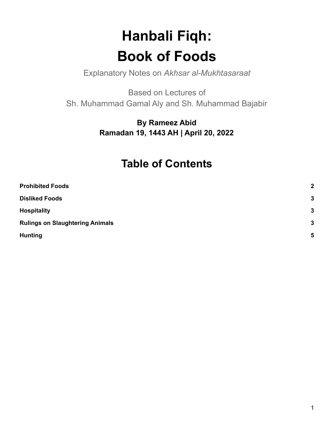# **Hanbali Fiqh: Book of Foods**

Explanatory Notes on *Akhsar al-Mukhtasaraat*

Based on Lectures of Sh. Muhammad Gamal Aly and Sh. Muhammad Bajabir

> **By Rameez Abid Ramadan 19, 1443 AH | April 20, 2022**

# **Table of Contents**

| <b>Prohibited Foods</b>                | $\mathbf{2}$ |
|----------------------------------------|--------------|
| <b>Disliked Foods</b>                  | $\mathbf{3}$ |
| <b>Hospitality</b>                     | $\mathbf{3}$ |
| <b>Rulings on Slaughtering Animals</b> | $\mathbf{3}$ |
| <b>Hunting</b>                         | 5            |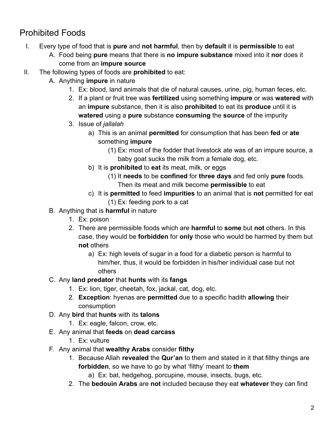# <span id="page-1-0"></span>Prohibited Foods

- I. Every type of food that is **pure** and **not harmful**, then by **default** it is **permissible** to eat
	- A. Food being **pure** means that there is **no impure substance** mixed into it **nor** does it come from an **impure source**
- II. The following types of foods are **prohibited** to eat:
	- A. Anything **impure** in nature
		- 1. Ex: blood, land animals that die of natural causes, urine, pig, human feces, etc.
		- 2. If a plant or fruit tree was **fertilized** using something **impure** or was **watered** with an **impure** substance, then it is also **prohibited** to eat its **produce** until it is **watered** using a **pure** substance **consuming** the **source** of the impurity
		- 3. Issue of *jallalah*
			- a) This is an animal **permitted** for consumption that has been **fed** or **ate** something **impure**
				- (1) Ex: most of the fodder that livestock ate was of an impure source, a baby goat sucks the milk from a female dog, etc.
			- b) It is **prohibited** to **eat** its meat, milk, or eggs
				- (1) It **needs** to be **confined** for **three days** and fed only **pure** foods. Then its meat and milk become **permissible** to eat
			- c) It is **permitted** to feed **impurities** to an animal that is **not** permitted for eat (1) Ex: feeding pork to a cat
	- B. Anything that is **harmful** in nature
		- 1. Ex: poison
		- 2. There are permissible foods which are **harmful** to **some** but **not** others. In this case, they would be **forbidden** for **only** those who would be harmed by them but **not** others
			- a) Ex: high levels of sugar in a food for a diabetic person is harmful to him/her, thus, it would be forbidden in his/her individual case but not others
	- C. Any **land predator** that **hunts** with its **fangs**
		- 1. Ex: lion, tiger, cheetah, fox, jackal, cat, dog, etc.
		- 2. **Exception**: hyenas are **permitted** due to a specific hadith **allowing** their consumption
	- D. Any **bird** that **hunts** with its **talons**
		- 1. Ex: eagle, falcon, crow, etc.
	- E. Any animal that **feeds** on **dead carcass**
		- 1. Ex: vulture
	- F. Any animal that **wealthy Arabs** consider **filthy**
		- 1. Because Allah **revealed** the **Qur'an** to them and stated in it that filthy things are **forbidden**, so we have to go by what 'filthy' meant to **them**
			- a) Ex: bat, hedgehog, porcupine, mouse, insects, bugs, etc.
		- 2. The **bedouin Arabs** are **not** included because they eat **whatever** they can find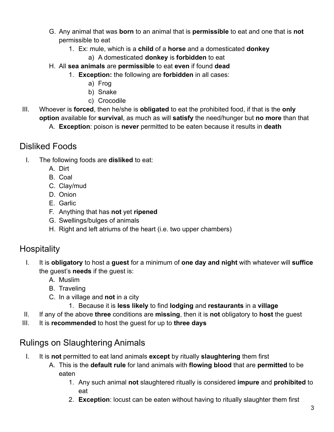- G. Any animal that was **born** to an animal that is **permissible** to eat and one that is **not** permissible to eat
	- 1. Ex: mule, which is a **child** of a **horse** and a domesticated **donkey**
		- a) A domesticated **donkey** is **forbidden** to eat
- H. All **sea animals** are **permissible** to eat **even** if found **dead**
	- 1. **Exception:** the following are **forbidden** in all cases:
		- a) Frog
		- b) Snake
		- c) Crocodile
- III. Whoever is **forced**, then he/she is **obligated** to eat the prohibited food, if that is the **only option** available for **survival**, as much as will **satisfy** the need/hunger but **no more** than that

A. **Exception**: poison is **never** permitted to be eaten because it results in **death**

#### <span id="page-2-0"></span>Disliked Foods

- I. The following foods are **disliked** to eat:
	- A. Dirt
	- B. Coal
	- C. Clay/mud
	- D. Onion
	- E. Garlic
	- F. Anything that has **not** yet **ripened**
	- G. Swellings/bulges of animals
	- H. Right and left atriums of the heart (i.e. two upper chambers)

## <span id="page-2-1"></span>**Hospitality**

- I. It is **obligatory** to host a **guest** for a minimum of **one day and night** with whatever will **suffice** the guest's **needs** if the guest is:
	- A. Muslim
	- B. Traveling
	- C. In a village and **not** in a city
		- 1. Because it is **less likely** to find **lodging** and **restaurants** in a **village**
- II. If any of the above **three** conditions are **missing**, then it is **not** obligatory to **host** the guest
- <span id="page-2-2"></span>III. It is **recommended** to host the guest for up to **three days**

## Rulings on Slaughtering Animals

- I. It is **not** permitted to eat land animals **except** by ritually **slaughtering** them first
	- A. This is the **default rule** for land animals with **flowing blood** that are **permitted** to be eaten
		- 1. Any such animal **not** slaughtered ritually is considered **impure** and **prohibited** to eat
		- 2. **Exception**: locust can be eaten without having to ritually slaughter them first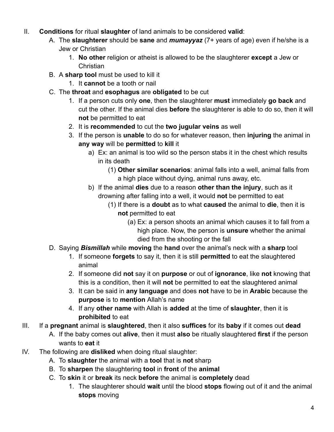- II. **Conditions** for ritual **slaughter** of land animals to be considered **valid**:
	- A. The **slaughterer** should be **sane** and *mumayyaz* (7+ years of age) even if he/she is a Jew or Christian
		- 1. **No other** religion or atheist is allowed to be the slaughterer **except** a Jew or **Christian**
	- B. A **sharp tool** must be used to kill it
		- 1. It **cannot** be a tooth or nail
	- C. The **throat** and **esophagus** are **obligated** to be cut
		- 1. If a person cuts only **one**, then the slaughterer **must** immediately **go back** and cut the other. If the animal dies **before** the slaughterer is able to do so, then it will **not** be permitted to eat
		- 2. It is **recommended** to cut the **two jugular veins** as well
		- 3. If the person is **unable** to do so for whatever reason, then **injuring** the animal in **any way** will be **permitted** to **kill** it
			- a) Ex: an animal is too wild so the person stabs it in the chest which results in its death
				- (1) **Other similar scenarios**: animal falls into a well, animal falls from a high place without dying, animal runs away, etc.
			- b) If the animal **dies** due to a reason **other than the injury**, such as it drowning after falling into a well, it would **not** be permitted to eat
				- (1) If there is a **doubt** as to what **caused** the animal to **die**, then it is **not** permitted to eat
					- (a) Ex: a person shoots an animal which causes it to fall from a high place. Now, the person is **unsure** whether the animal died from the shooting or the fall
	- D. Saying *Bismillah* while **moving** the **hand** over the animal's neck with a **sharp** tool
		- 1. If someone **forgets** to say it, then it is still **permitted** to eat the slaughtered animal
		- 2. If someone did **not** say it on **purpose** or out of **ignorance**, like **not** knowing that this is a condition, then it will **not** be permitted to eat the slaughtered animal
		- 3. It can be said in **any language** and does **not** have to be in **Arabic** because the **purpose** is to **mention** Allah's name
		- 4. If any **other name** with Allah is **added** at the time of **slaughter**, then it is **prohibited** to eat
- III. If a **pregnant** animal is **slaughtered**, then it also **suffices** for its **baby** if it comes out **dead**
	- A. If the baby comes out **alive**, then it must **also** be ritually slaughtered **first** if the person wants to **eat** it
- IV. The following are **disliked** when doing ritual slaughter:
	- A. To **slaughter** the animal with a **tool** that is **not** sharp
	- B. To **sharpen** the slaughtering **tool** in **front** of the **animal**
	- C. To **skin** it or **break** its neck **before** the animal is **completely** dead
		- 1. The slaughterer should **wait** until the blood **stops** flowing out of it and the animal **stops** moving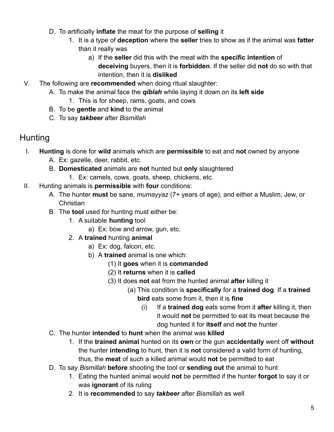- D. To artificially **inflate** the meat for the purpose of **selling** it
	- 1. It is a type of **deception** where the **seller** tries to show as if the animal was **fatter** than it really was
		- a) If the **seller** did this with the meat with the **specific intention** of **deceiving** buyers, then it is **forbidden**. If the seller did **not** do so with that intention, then it is **disliked**
- V. The following are **recommended** when doing ritual slaughter:
	- A. To make the animal face the *qiblah* while laying it down on its **left side**
		- 1. This is for sheep, rams, goats, and cows
	- B. To be **gentle** and **kind** to the animal
	- C. To say *takbeer* after *Bismillah*

#### <span id="page-4-0"></span>**Hunting**

- I. **Hunting** is done for **wild** animals which are **permissible** to eat and **not** owned by anyone
	- A. Ex: gazelle, deer, rabbit, etc.
	- B. **Domesticated** animals are **not** hunted but **only** slaughtered
		- 1. Ex: camels, cows, goats, sheep, chickens, etc.
- II. Hunting animals is **permissible** with **four** conditions:
	- A. The hunter **must** be sane, *mumayyaz* (7+ years of age), and either a Muslim, Jew, or Christian
	- B. The **tool** used for hunting must either be:
		- 1. A suitable **hunting** tool
			- a) Ex: bow and arrow, gun, etc.
		- 2. A **trained** hunting **animal**
			- a) Ex: dog, falcon, etc.
			- b) A **trained** animal is one which:
				- (1) It **goes** when it is **commanded**
				- (2) It **returns** when it is **called**
				- (3) It does **not** eat from the hunted animal **after** killing it
					- (a) This condition is **specifically** for a **trained dog**. If a **trained bird** eats some from it, then it is **fine**
						- (i) If a **trained dog** eats some from it **after** killing it, then it would **not** be permitted to eat its meat because the dog hunted it for **itself** and **not** the hunter
	- C. The hunter **intended** to **hunt** when the animal was **killed**
		- 1. If the **trained animal** hunted on its **own** or the gun **accidentally** went off **without** the hunter **intending** to hunt, then it is **not** considered a valid form of hunting, thus, the **meat** of such a killed animal would **not** be permitted to eat
	- D. To say *Bismillah* **before** shooting the tool or **sending out** the animal to hunt
		- 1. Eating the hunted animal would **not** be permitted if the hunter **forgot** to say it or was **ignorant** of its ruling
		- 2. It is **recommended** to say *takbeer* after *Bismillah* as well